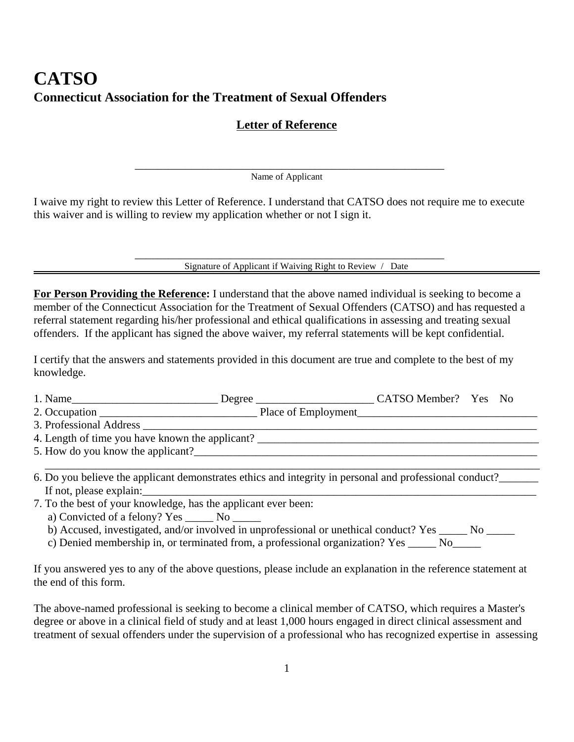## **CATSO Connecticut Association for the Treatment of Sexual Offenders**

## **Letter of Reference**

\_\_\_\_\_\_\_\_\_\_\_\_\_\_\_\_\_\_\_\_\_\_\_\_\_\_\_\_\_\_\_\_\_\_\_\_\_\_\_\_\_\_\_\_\_\_\_\_\_\_\_\_\_\_\_ Name of Applicant

I waive my right to review this Letter of Reference. I understand that CATSO does not require me to execute this waiver and is willing to review my application whether or not I sign it.

Signature of Applicant if Waiving Right to Review / Date

**For Person Providing the Reference:** I understand that the above named individual is seeking to become a member of the Connecticut Association for the Treatment of Sexual Offenders (CATSO) and has requested a referral statement regarding his/her professional and ethical qualifications in assessing and treating sexual offenders. If the applicant has signed the above waiver, my referral statements will be kept confidential.

I certify that the answers and statements provided in this document are true and complete to the best of my knowledge.

| 1. Name                 | Degree              | CATSO Member? Yes No |  |
|-------------------------|---------------------|----------------------|--|
| 2. Occupation           | Place of Employment |                      |  |
| 3. Professional Address |                     |                      |  |

\_\_\_\_\_\_\_\_\_\_\_\_\_\_\_\_\_\_\_\_\_\_\_\_\_\_\_\_\_\_\_\_\_\_\_\_\_\_\_\_\_\_\_\_\_\_\_\_\_\_\_\_\_\_\_\_\_\_\_\_\_\_\_\_\_\_\_\_\_\_\_\_\_\_\_\_\_\_\_\_\_\_\_\_\_\_\_\_

 $\overline{X}$  . Professional Address  $\overline{X}$  , and the set of the set of the set of the set of the set of the set of the set of the set of the set of the set of the set of the set of the set of the set of the set of the set o

4. Length of time you have known the applicant? \_\_\_\_\_\_\_\_\_\_\_\_\_\_\_\_\_\_\_\_\_\_\_\_\_\_\_\_\_\_\_\_\_

5. How do you know the applicant?

- 6. Do you believe the applicant demonstrates ethics and integrity in personal and professional conduct?\_\_\_\_\_\_\_ If not, please explain:
- 7. To the best of your knowledge, has the applicant ever been:
	- a) Convicted of a felony? Yes \_\_\_\_\_\_ No \_\_\_\_\_\_
	- b) Accused, investigated, and/or involved in unprofessional or unethical conduct? Yes \_\_\_\_\_ No \_\_\_\_\_
	- c) Denied membership in, or terminated from, a professional organization? Yes No

If you answered yes to any of the above questions, please include an explanation in the reference statement at the end of this form.

The above-named professional is seeking to become a clinical member of CATSO, which requires a Master's degree or above in a clinical field of study and at least 1,000 hours engaged in direct clinical assessment and treatment of sexual offenders under the supervision of a professional who has recognized expertise in assessing